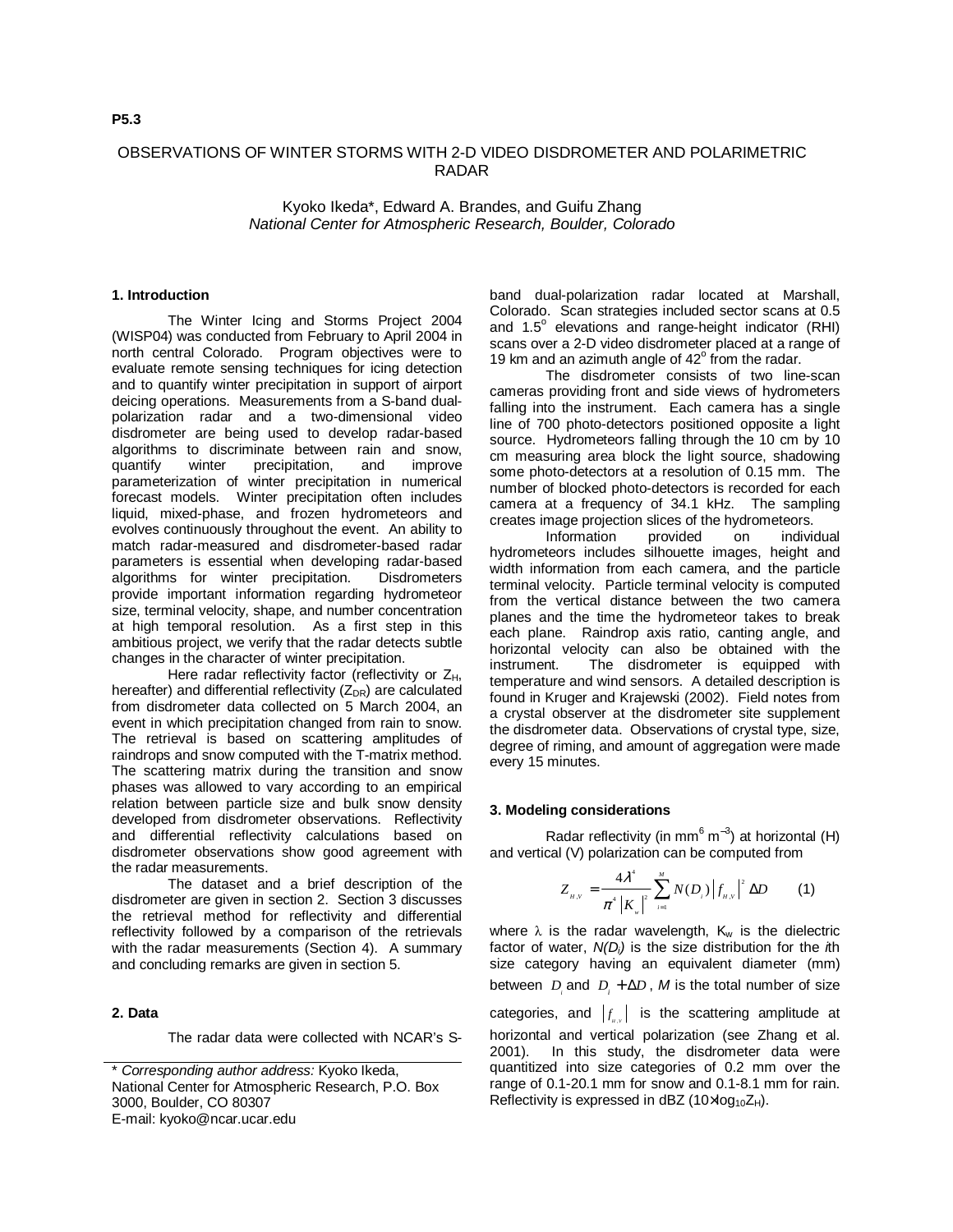# OBSERVATIONS OF WINTER STORMS WITH 2-D VIDEO DISDROMETER AND POLARIMETRIC RADAR

Kyoko Ikeda\*, Edward A. Brandes, and Guifu Zhang National Center for Atmospheric Research, Boulder, Colorado

### **1. Introduction**

The Winter Icing and Storms Project 2004 (WISP04) was conducted from February to April 2004 in north central Colorado. Program objectives were to evaluate remote sensing techniques for icing detection and to quantify winter precipitation in support of airport deicing operations. Measurements from a S-band dualpolarization radar and a two-dimensional video disdrometer are being used to develop radar-based algorithms to discriminate between rain and snow, quantify winter precipitation, and improve parameterization of winter precipitation in numerical forecast models. Winter precipitation often includes liquid, mixed-phase, and frozen hydrometeors and evolves continuously throughout the event. An ability to match radar-measured and disdrometer-based radar parameters is essential when developing radar-based algorithms for winter precipitation. Disdrometers provide important information regarding hydrometeor size, terminal velocity, shape, and number concentration at high temporal resolution. As a first step in this ambitious project, we verify that the radar detects subtle changes in the character of winter precipitation.

Here radar reflectivity factor (reflectivity or Z<sub>H</sub>, hereafter) and differential reflectivity  $(Z_{DR})$  are calculated from disdrometer data collected on 5 March 2004, an event in which precipitation changed from rain to snow. The retrieval is based on scattering amplitudes of raindrops and snow computed with the T-matrix method. The scattering matrix during the transition and snow phases was allowed to vary according to an empirical relation between particle size and bulk snow density developed from disdrometer observations. Reflectivity and differential reflectivity calculations based on disdrometer observations show good agreement with the radar measurements.

The dataset and a brief description of the disdrometer are given in section 2. Section 3 discusses the retrieval method for reflectivity and differential reflectivity followed by a comparison of the retrievals with the radar measurements (Section 4). A summary and concluding remarks are given in section 5.

# **2. Data**

The radar data were collected with NCAR's S-

band dual-polarization radar located at Marshall, Colorado. Scan strategies included sector scans at 0.5 and 1.5° elevations and range-height indicator (RHI) scans over a 2-D video disdrometer placed at a range of 19 km and an azimuth angle of  $42^\circ$  from the radar.

The disdrometer consists of two line-scan cameras providing front and side views of hydrometers falling into the instrument. Each camera has a single line of 700 photo-detectors positioned opposite a light source. Hydrometeors falling through the 10 cm by 10 cm measuring area block the light source, shadowing some photo-detectors at a resolution of 0.15 mm. The number of blocked photo-detectors is recorded for each camera at a frequency of 34.1 kHz. The sampling creates image projection slices of the hydrometeors.

Information provided on individual hydrometeors includes silhouette images, height and width information from each camera, and the particle terminal velocity. Particle terminal velocity is computed from the vertical distance between the two camera planes and the time the hydrometeor takes to break each plane. Raindrop axis ratio, canting angle, and horizontal velocity can also be obtained with the instrument. The disdrometer is equipped with temperature and wind sensors. A detailed description is found in Kruger and Krajewski (2002). Field notes from a crystal observer at the disdrometer site supplement the disdrometer data. Observations of crystal type, size, degree of riming, and amount of aggregation were made every 15 minutes.

#### **3. Modeling considerations**

Radar reflectivity (in mm $^6$  m<sup>-3</sup>) at horizontal (H) and vertical (V) polarization can be computed from

$$
Z_{\mu,\nu} = \frac{4\lambda^4}{\pi^4 |K_{\nu}|^2} \sum_{i=1}^{M} N(D_i) |f_{\mu,\nu}|^2 \Delta D
$$
 (1)

where  $\lambda$  is the radar wavelength, K<sub>w</sub> is the dielectric factor of water,  $N(D_i)$  is the size distribution for the *h* size category having an equivalent diameter (mm) between  $D_i$  and  $D_i + \Delta D$ , M is the total number of size categories, and  $|f_{\scriptscriptstyle\rm\scriptscriptstyle I\hspace{-1pt}l}|\,$  is the scattering amplitude at horizontal and vertical polarization (see Zhang et al. 2001). In this study, the disdrometer data were quantitized into size categories of 0.2 mm over the range of 0.1-20.1 mm for snow and 0.1-8.1 mm for rain. Reflectivity is expressed in dBZ  $(10 \times \log_{10} Z_H)$ .

<sup>\*</sup> Corresponding author address: Kyoko Ikeda, National Center for Atmospheric Research, P.O. Box 3000, Boulder, CO 80307 E-mail: kyoko@ncar.ucar.edu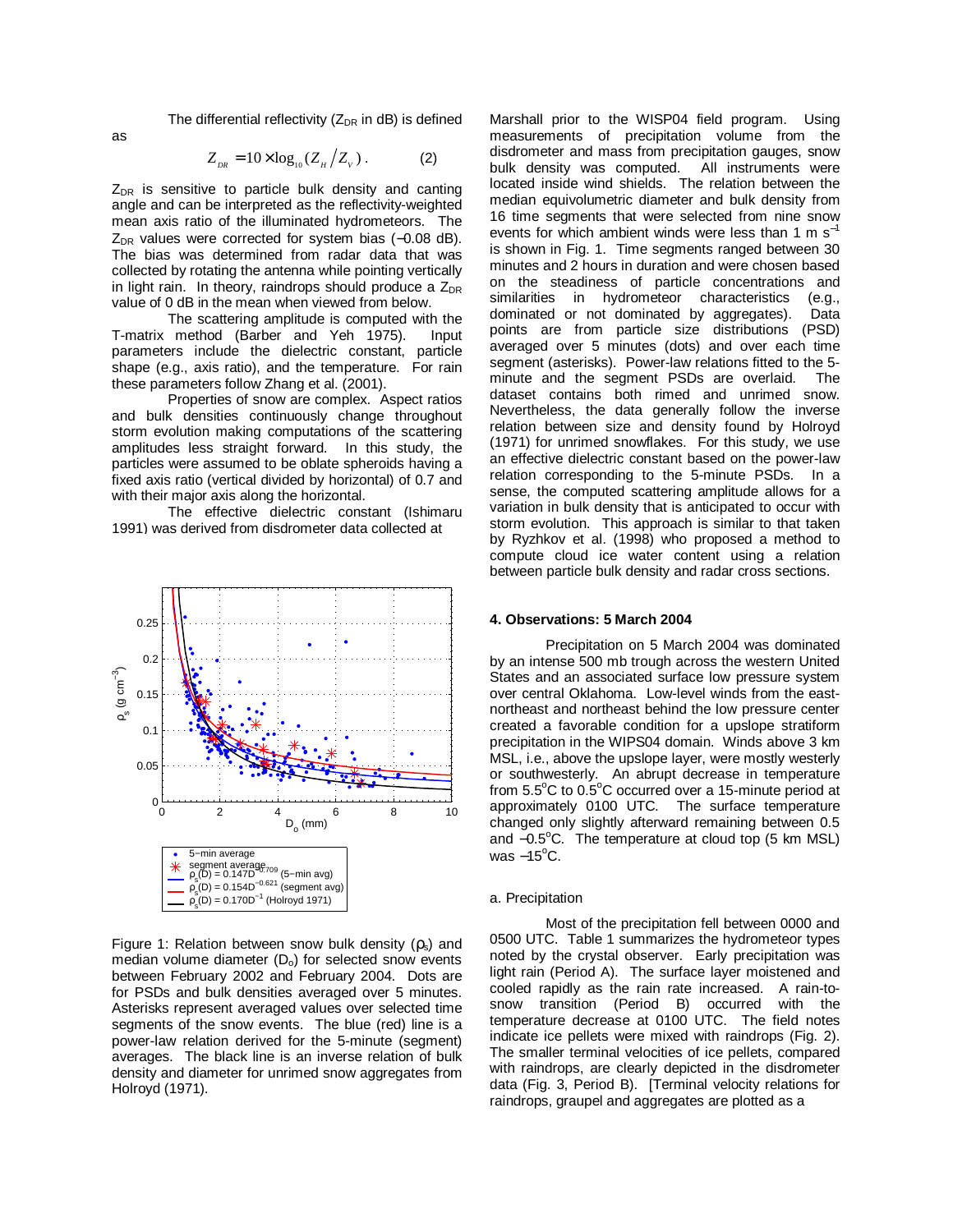The differential reflectivity ( $Z_{DR}$  in dB) is defined

$$
Z_{_{DR}} = 10 \times \log_{10}(Z_{_H}/Z_{_V}) \,. \tag{2}
$$

 $Z_{DR}$  is sensitive to particle bulk density and canting angle and can be interpreted as the reflectivity-weighted mean axis ratio of the illuminated hydrometeors. The  $Z_{DR}$  values were corrected for system bias (-0.08 dB). The bias was determined from radar data that was collected by rotating the antenna while pointing vertically in light rain. In theory, raindrops should produce a  $Z_{\text{DR}}$ value of 0 dB in the mean when viewed from below.

The scattering amplitude is computed with the T-matrix method (Barber and Yeh 1975). Input parameters include the dielectric constant, particle shape (e.g., axis ratio), and the temperature. For rain these parameters follow Zhang et al. (2001).

Properties of snow are complex. Aspect ratios and bulk densities continuously change throughout storm evolution making computations of the scattering amplitudes less straight forward. In this study, the particles were assumed to be oblate spheroids having a fixed axis ratio (vertical divided by horizontal) of 0.7 and with their major axis along the horizontal.

The effective dielectric constant (Ishimaru 1991) was derived from disdrometer data collected at



Figure 1: Relation between snow bulk density  $(p_s)$  and median volume diameter  $(D<sub>o</sub>)$  for selected snow events between February 2002 and February 2004. Dots are for PSDs and bulk densities averaged over 5 minutes. Asterisks represent averaged values over selected time segments of the snow events. The blue (red) line is a power-law relation derived for the 5-minute (segment) averages. The black line is an inverse relation of bulk density and diameter for unrimed snow aggregates from Holroyd (1971).

Marshall prior to the WISP04 field program. Using measurements of precipitation volume from the disdrometer and mass from precipitation gauges, snow bulk density was computed. All instruments were located inside wind shields. The relation between the median equivolumetric diameter and bulk density from 16 time segments that were selected from nine snow events for which ambient winds were less than 1 m  $s^{-1}$ is shown in Fig. 1. Time segments ranged between 30 minutes and 2 hours in duration and were chosen based on the steadiness of particle concentrations and similarities in hydrometeor characteristics (e.g., dominated or not dominated by aggregates). Data points are from particle size distributions (PSD) averaged over 5 minutes (dots) and over each time segment (asterisks). Power-law relations fitted to the 5 minute and the segment PSDs are overlaid. The dataset contains both rimed and unrimed snow. Nevertheless, the data generally follow the inverse relation between size and density found by Holroyd (1971) for unrimed snowflakes. For this study, we use an effective dielectric constant based on the power-law relation corresponding to the 5-minute PSDs. In a sense, the computed scattering amplitude allows for a variation in bulk density that is anticipated to occur with storm evolution. This approach is similar to that taken by Ryzhkov et al. (1998) who proposed a method to compute cloud ice water content using a relation between particle bulk density and radar cross sections.

#### **4. Observations: 5 March 2004**

Precipitation on 5 March 2004 was dominated by an intense 500 mb trough across the western United States and an associated surface low pressure system over central Oklahoma. Low-level winds from the eastnortheast and northeast behind the low pressure center created a favorable condition for a upslope stratiform precipitation in the WIPS04 domain. Winds above 3 km MSL, i.e., above the upslope layer, were mostly westerly or southwesterly. An abrupt decrease in temperature from 5.5°C to 0.5°C occurred over a 15-minute period at approximately 0100 UTC. The surface temperature changed only slightly afterward remaining between 0.5 and -0.5°C. The temperature at cloud top (5 km MSL) was –15°C.

#### a. Precipitation

Most of the precipitation fell between 0000 and 0500 UTC. Table 1 summarizes the hydrometeor types noted by the crystal observer. Early precipitation was light rain (Period A). The surface layer moistened and cooled rapidly as the rain rate increased. A rain-tosnow transition (Period B) occurred with the temperature decrease at 0100 UTC. The field notes indicate ice pellets were mixed with raindrops (Fig. 2). The smaller terminal velocities of ice pellets, compared with raindrops, are clearly depicted in the disdrometer data (Fig. 3, Period B). [Terminal velocity relations for raindrops, graupel and aggregates are plotted as a

as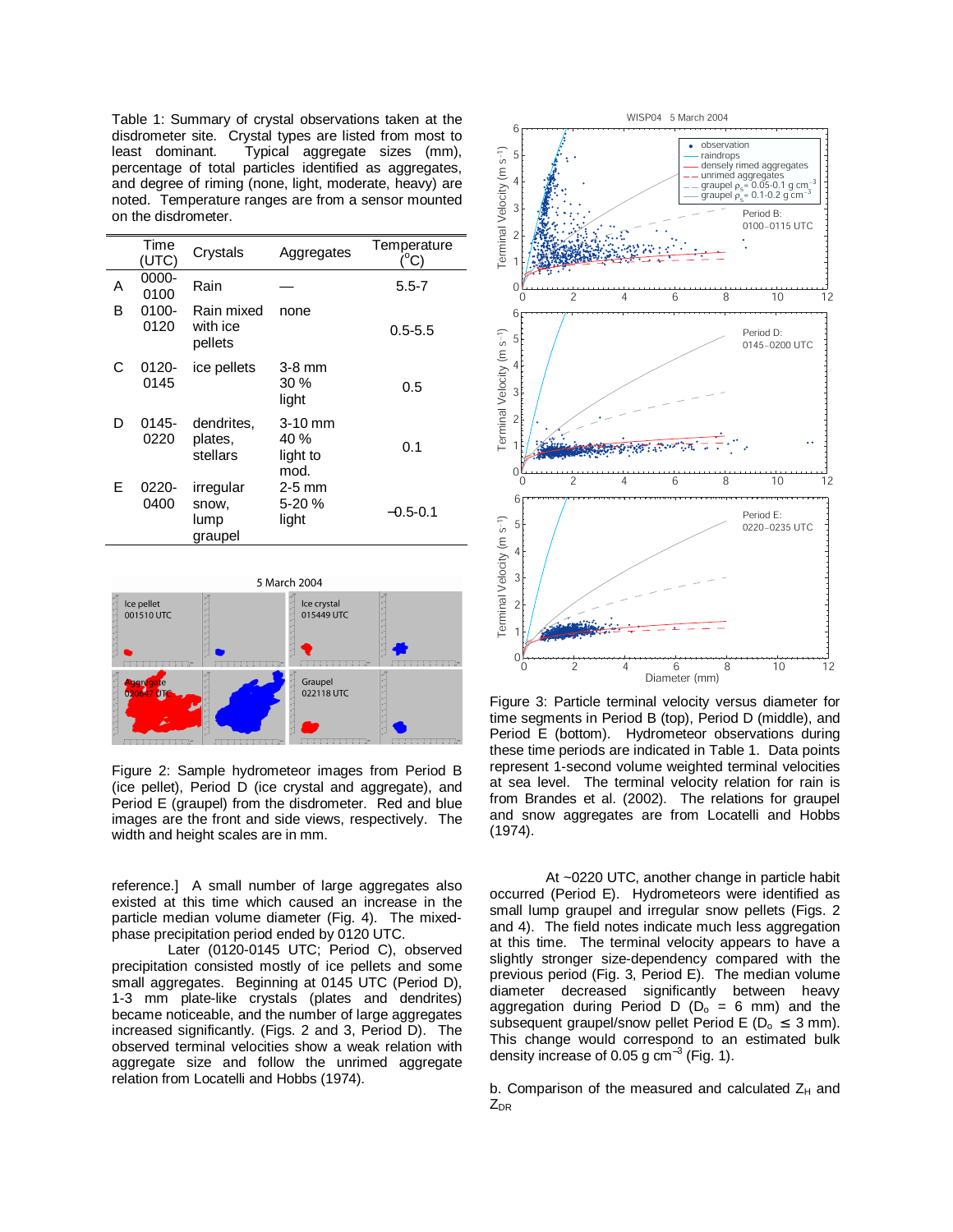Table 1: Summary of crystal observations taken at the disdrometer site. Crystal types are listed from most to least dominant. Typical aggregate sizes (mm), percentage of total particles identified as aggregates, and degree of riming (none, light, moderate, heavy) are noted. Temperature ranges are from a sensor mounted on the disdrometer.

|   | Time<br>(UTC) | Crystals                              | Aggregates                            | Temperature<br>$^{\circ}$ C) |
|---|---------------|---------------------------------------|---------------------------------------|------------------------------|
| Α | 0000-<br>0100 | Rain                                  |                                       | $5.5 - 7$                    |
| в | 0100-<br>0120 | Rain mixed<br>with ice<br>pellets     | none                                  | $0.5 - 5.5$                  |
| С | 0120-<br>0145 | ice pellets                           | $3-8$ mm<br>30%<br>light              | 0.5                          |
| D | 0145-<br>0220 | dendrites,<br>plates,<br>stellars     | $3-10$ mm<br>40 %<br>light to<br>mod. | 0.1                          |
| E | 0220-<br>0400 | irregular<br>snow,<br>lump<br>graupel | $2-5$ mm<br>5-20%<br>light            | $-0.5-0.1$                   |



Figure 2: Sample hydrometeor images from Period B (ice pellet), Period D (ice crystal and aggregate), and Period E (graupel) from the disdrometer. Red and blue images are the front and side views, respectively. The width and height scales are in mm.

reference.] A small number of large aggregates also existed at this time which caused an increase in the particle median volume diameter (Fig. 4). The mixedphase precipitation period ended by 0120 UTC.

Later (0120-0145 UTC; Period C), observed precipitation consisted mostly of ice pellets and some small aggregates. Beginning at 0145 UTC (Period D), 1-3 mm plate-like crystals (plates and dendrites) became noticeable, and the number of large aggregates increased significantly. (Figs. 2 and 3, Period D). The observed terminal velocities show a weak relation with aggregate size and follow the unrimed aggregate relation from Locatelli and Hobbs (1974).



Figure 3: Particle terminal velocity versus diameter for time segments in Period B (top), Period D (middle), and Period E (bottom). Hydrometeor observations during these time periods are indicated in Table 1. Data points represent 1-second volume weighted terminal velocities at sea level. The terminal velocity relation for rain is from Brandes et al. (2002). The relations for graupel and snow aggregates are from Locatelli and Hobbs (1974).

At ~0220 UTC, another change in particle habit occurred (Period E). Hydrometeors were identified as small lump graupel and irregular snow pellets (Figs. 2 and 4). The field notes indicate much less aggregation at this time. The terminal velocity appears to have a slightly stronger size-dependency compared with the previous period (Fig. 3, Period E). The median volume diameter decreased significantly between heavy aggregation during Period D ( $D_0 = 6$  mm) and the subsequent graupel/snow pellet Period E ( $D_0 \leq 3$  mm). This change would correspond to an estimated bulk density increase of 0.05 g  $cm^{-3}$  (Fig. 1).

b. Comparison of the measured and calculated  $Z_H$  and  $Z_{DR}$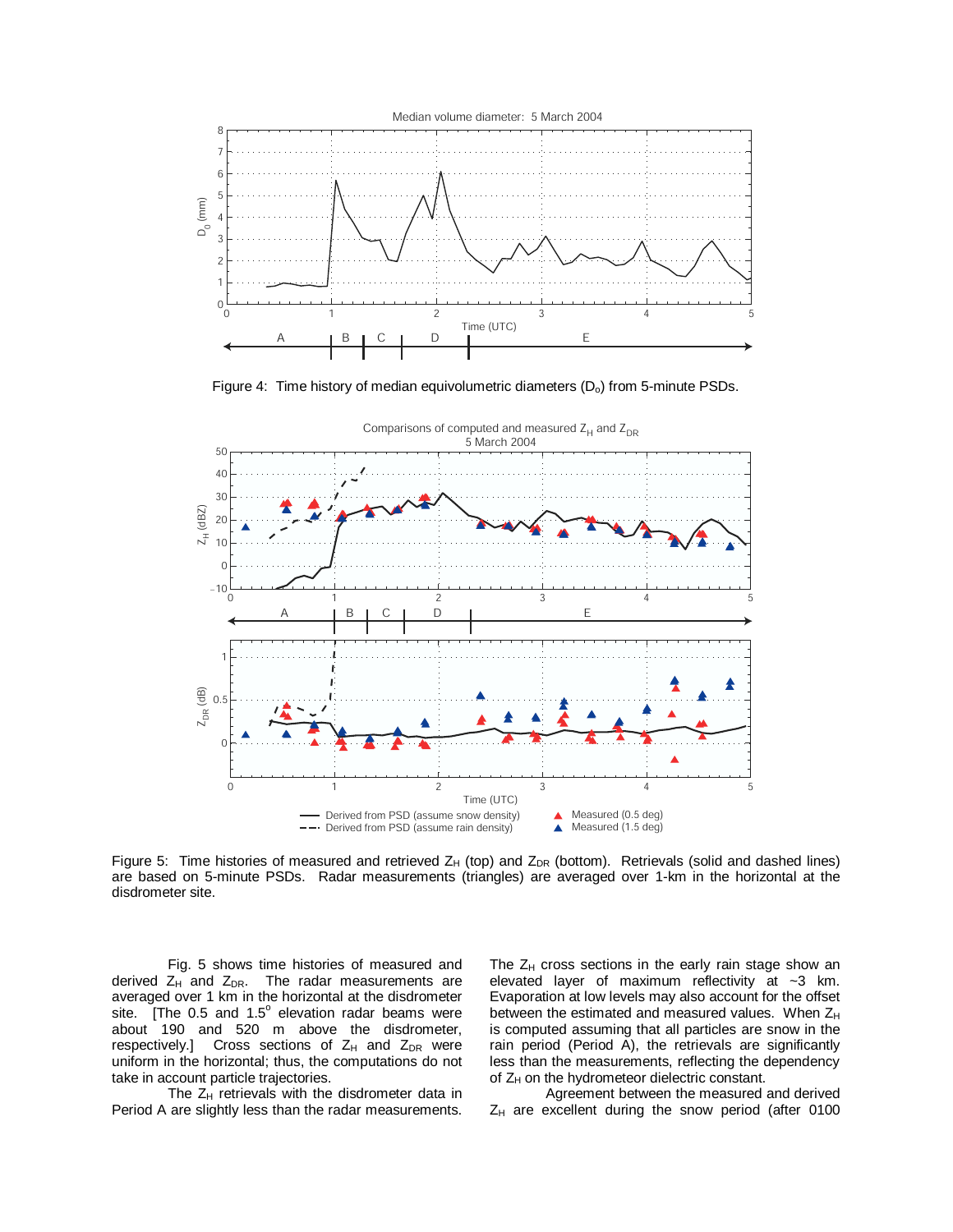

Figure 4: Time history of median equivolumetric diameters  $(D<sub>o</sub>)$  from 5-minute PSDs.



Figure 5: Time histories of measured and retrieved  $Z_H$  (top) and  $Z_{DR}$  (bottom). Retrievals (solid and dashed lines) are based on 5-minute PSDs. Radar measurements (triangles) are averaged over 1-km in the horizontal at the disdrometer site.

Fig. 5 shows time histories of measured and derived  $Z_H$  and  $Z_{DR}$ . The radar measurements are averaged over 1 km in the horizontal at the disdrometer site. [The 0.5 and 1.5 $^{\circ}$  elevation radar beams were about 190 and 520 m above the disdrometer, respectively.] Cross sections of  $Z_H$  and  $Z_{DR}$  were uniform in the horizontal; thus, the computations do not take in account particle trajectories.

The  $Z_H$  retrievals with the disdrometer data in Period A are slightly less than the radar measurements. The  $Z_H$  cross sections in the early rain stage show an elevated layer of maximum reflectivity at  $\sim$ 3 km. Evaporation at low levels may also account for the offset between the estimated and measured values. When  $Z_H$ is computed assuming that all particles are snow in the rain period (Period  $\tilde{A}$ ), the retrievals are significantly less than the measurements, reflecting the dependency of  $Z_H$  on the hydrometeor dielectric constant.

Agreement between the measured and derived  $Z_H$  are excellent during the snow period (after 0100